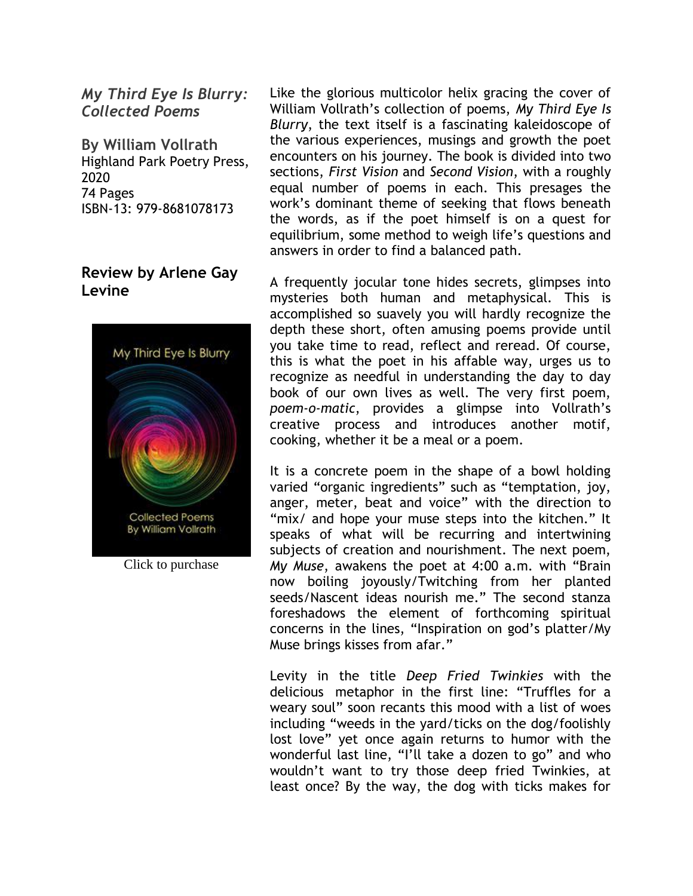*My Third Eye Is Blurry: Collected Poems*

**By William Vollrath** Highland Park Poetry Press, 2020 74 Pages ISBN-13: 979-8681078173

## **Review by Arlene Gay Levine**



Click to purchase

Like the glorious multicolor helix gracing the cover of William Vollrath's collection of poems, *My Third Eye Is Blurry*, the text itself is a fascinating kaleidoscope of the various experiences, musings and growth the poet encounters on his journey. The book is divided into two sections, *First Vision* and *Second Vision*, with a roughly equal number of poems in each. This presages the work's dominant theme of seeking that flows beneath the words, as if the poet himself is on a quest for equilibrium, some method to weigh life's questions and answers in order to find a balanced path.

A frequently jocular tone hides secrets, glimpses into mysteries both human and metaphysical. This is accomplished so suavely you will hardly recognize the depth these short, often amusing poems provide until you take time to read, reflect and reread. Of course, this is what the poet in his affable way, urges us to recognize as needful in understanding the day to day book of our own lives as well. The very first poem, *poem-o-matic*, provides a glimpse into Vollrath's creative process and introduces another motif, cooking, whether it be a meal or a poem.

It is a concrete poem in the shape of a bowl holding varied "organic ingredients" such as "temptation, joy, anger, meter, beat and voice" with the direction to "mix/ and hope your muse steps into the kitchen." It speaks of what will be recurring and intertwining subjects of creation and nourishment. The next poem, *My Muse*, awakens the poet at 4:00 a.m. with "Brain now boiling joyously/Twitching from her planted seeds/Nascent ideas nourish me." The second stanza foreshadows the element of forthcoming spiritual concerns in the lines, "Inspiration on god's platter/My Muse brings kisses from afar."

Levity in the title *Deep Fried Twinkies* with the delicious metaphor in the first line: "Truffles for a weary soul" soon recants this mood with a list of woes including "weeds in the yard/ticks on the dog/foolishly lost love" yet once again returns to humor with the wonderful last line, "I'll take a dozen to go" and who wouldn't want to try those deep fried Twinkies, at least once? By the way, the dog with ticks makes for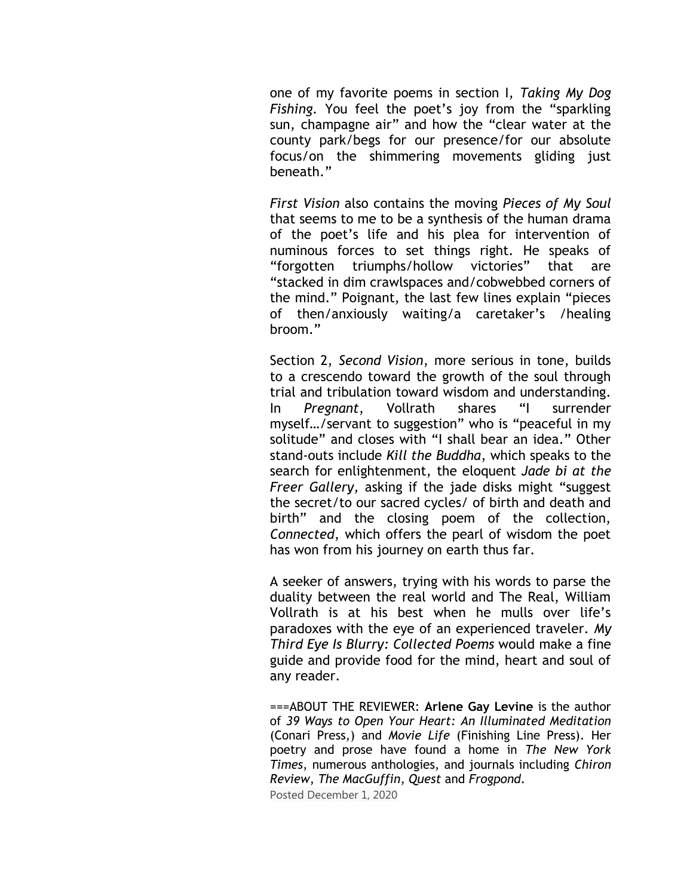one of my favorite poems in section I, *Taking My Dog Fishing.* You feel the poet's joy from the "sparkling sun, champagne air" and how the "clear water at the county park/begs for our presence/for our absolute focus/on the shimmering movements gliding just beneath."

*First Vision* also contains the moving *Pieces of My Soul* that seems to me to be a synthesis of the human drama of the poet's life and his plea for intervention of numinous forces to set things right. He speaks of "forgotten triumphs/hollow victories" that are "stacked in dim crawlspaces and/cobwebbed corners of the mind." Poignant, the last few lines explain "pieces of then/anxiously waiting/a caretaker's /healing broom."

Section 2, *Second Vision*, more serious in tone, builds to a crescendo toward the growth of the soul through trial and tribulation toward wisdom and understanding. In *Pregnant*, Vollrath shares "I surrender myself…/servant to suggestion" who is "peaceful in my solitude" and closes with "I shall bear an idea." Other stand-outs include *Kill the Buddha*, which speaks to the search for enlightenment, the eloquent *Jade bi at the Freer Gallery,* asking if the jade disks might "suggest the secret/to our sacred cycles/ of birth and death and birth" and the closing poem of the collection, *Connected*, which offers the pearl of wisdom the poet has won from his journey on earth thus far.

A seeker of answers, trying with his words to parse the duality between the real world and The Real, William Vollrath is at his best when he mulls over life's paradoxes with the eye of an experienced traveler. *My Third Eye Is Blurry: Collected Poems* would make a fine guide and provide food for the mind, heart and soul of any reader.

===ABOUT THE REVIEWER: **Arlene Gay Levine** is the author of *39 Ways to Open Your Heart: An Illuminated Meditation* (Conari Press,) and *Movie Life* (Finishing Line Press). Her poetry and prose have found a home in *The New York Times*, numerous anthologies, and journals including *Chiron Review*, *The MacGuffin*, *Quest* and *Frogpond*.

Posted December 1, 2020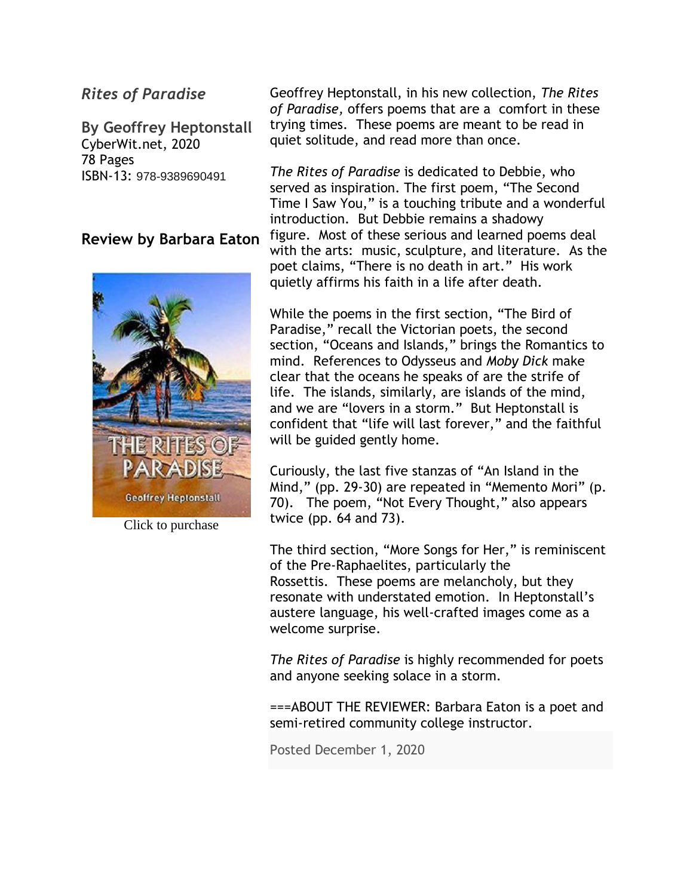# *Rites of Paradise*

**By Geoffrey Heptonstall** CyberWit.net, 2020 78 Pages ISBN-13: 978-9389690491

### **Review by Barbara Eaton**



Click to purchase

Geoffrey Heptonstall, in his new collection, *The Rites of Paradise,* offers poems that are a comfort in these trying times. These poems are meant to be read in quiet solitude, and read more than once.

*The Rites of Paradise* is dedicated to Debbie, who served as inspiration. The first poem, "The Second Time I Saw You," is a touching tribute and a wonderful introduction. But Debbie remains a shadowy figure. Most of these serious and learned poems deal with the arts: music, sculpture, and literature. As the poet claims, "There is no death in art." His work quietly affirms his faith in a life after death.

While the poems in the first section, "The Bird of Paradise," recall the Victorian poets, the second section, "Oceans and Islands," brings the Romantics to mind. References to Odysseus and *Moby Dick* make clear that the oceans he speaks of are the strife of life. The islands, similarly, are islands of the mind, and we are "lovers in a storm." But Heptonstall is confident that "life will last forever," and the faithful will be guided gently home.

Curiously, the last five stanzas of "An Island in the Mind," (pp. 29-30) are repeated in "Memento Mori" (p. 70). The poem, "Not Every Thought," also appears twice (pp. 64 and 73).

The third section, "More Songs for Her," is reminiscent of the Pre-Raphaelites, particularly the Rossettis. These poems are melancholy, but they resonate with understated emotion. In Heptonstall's austere language, his well-crafted images come as a welcome surprise.

*The Rites of Paradise* is highly recommended for poets and anyone seeking solace in a storm.

===ABOUT THE REVIEWER: Barbara Eaton is a poet and semi-retired community college instructor.

Posted December 1, 2020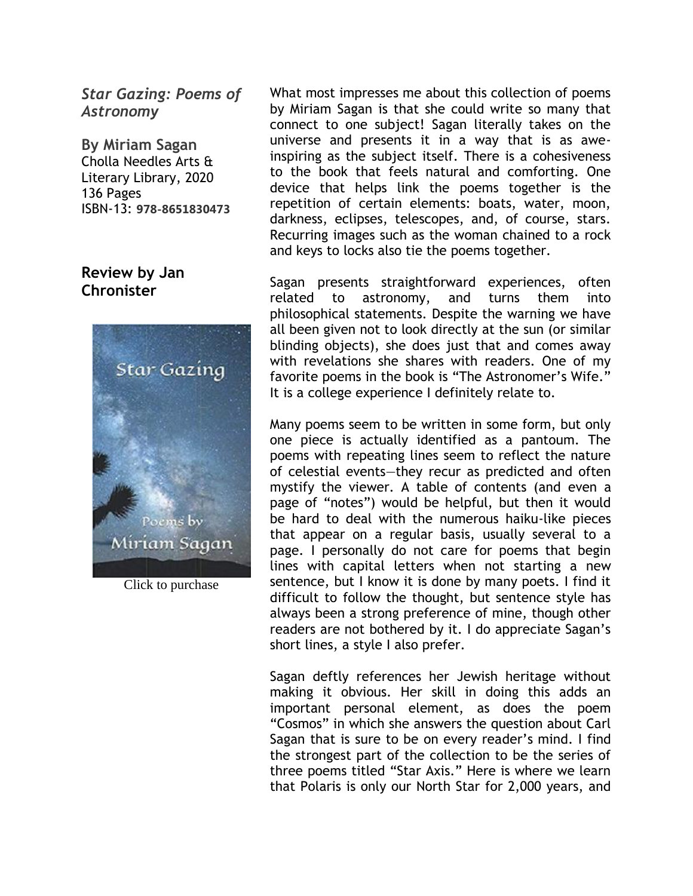*Star Gazing: Poems of Astronomy*

**By Miriam Sagan** Cholla Needles Arts & Literary Library, 2020 136 Pages ISBN-13: **978-8651830473**

## **Review by Jan Chronister**



Click to purchase

What most impresses me about this collection of poems by Miriam Sagan is that she could write so many that connect to one subject! Sagan literally takes on the universe and presents it in a way that is as aweinspiring as the subject itself. There is a cohesiveness to the book that feels natural and comforting. One device that helps link the poems together is the repetition of certain elements: boats, water, moon, darkness, eclipses, telescopes, and, of course, stars. Recurring images such as the woman chained to a rock and keys to locks also tie the poems together.

Sagan presents straightforward experiences, often related to astronomy, and turns them into philosophical statements. Despite the warning we have all been given not to look directly at the sun (or similar blinding objects), she does just that and comes away with revelations she shares with readers. One of my favorite poems in the book is "The Astronomer's Wife." It is a college experience I definitely relate to.

Many poems seem to be written in some form, but only one piece is actually identified as a pantoum. The poems with repeating lines seem to reflect the nature of celestial events—they recur as predicted and often mystify the viewer. A table of contents (and even a page of "notes") would be helpful, but then it would be hard to deal with the numerous haiku-like pieces that appear on a regular basis, usually several to a page. I personally do not care for poems that begin lines with capital letters when not starting a new sentence, but I know it is done by many poets. I find it difficult to follow the thought, but sentence style has always been a strong preference of mine, though other readers are not bothered by it. I do appreciate Sagan's short lines, a style I also prefer.

Sagan deftly references her Jewish heritage without making it obvious. Her skill in doing this adds an important personal element, as does the poem "Cosmos" in which she answers the question about Carl Sagan that is sure to be on every reader's mind. I find the strongest part of the collection to be the series of three poems titled "Star Axis." Here is where we learn that Polaris is only our North Star for 2,000 years, and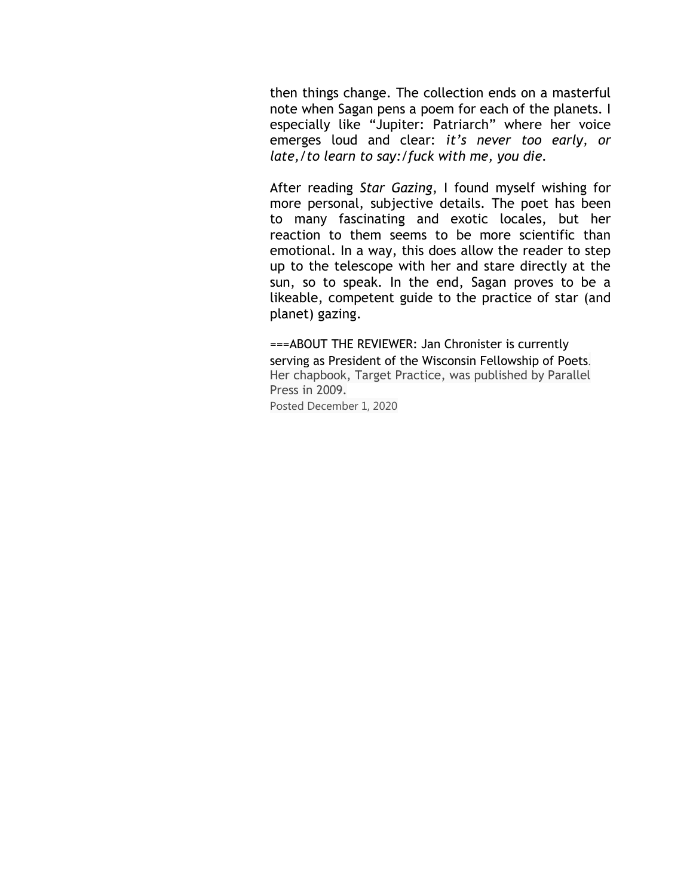then things change. The collection ends on a masterful note when Sagan pens a poem for each of the planets. I especially like "Jupiter: Patriarch" where her voice emerges loud and clear: *it's never too early, or late,/to learn to say:/fuck with me, you die.*

After reading *Star Gazing*, I found myself wishing for more personal, subjective details. The poet has been to many fascinating and exotic locales, but her reaction to them seems to be more scientific than emotional. In a way, this does allow the reader to step up to the telescope with her and stare directly at the sun, so to speak. In the end, Sagan proves to be a likeable, competent guide to the practice of star (and planet) gazing.

===ABOUT THE REVIEWER: Jan Chronister is currently serving as President of the Wisconsin Fellowship of Poets. Her chapbook, Target Practice, was published by Parallel Press in 2009. Posted December 1, 2020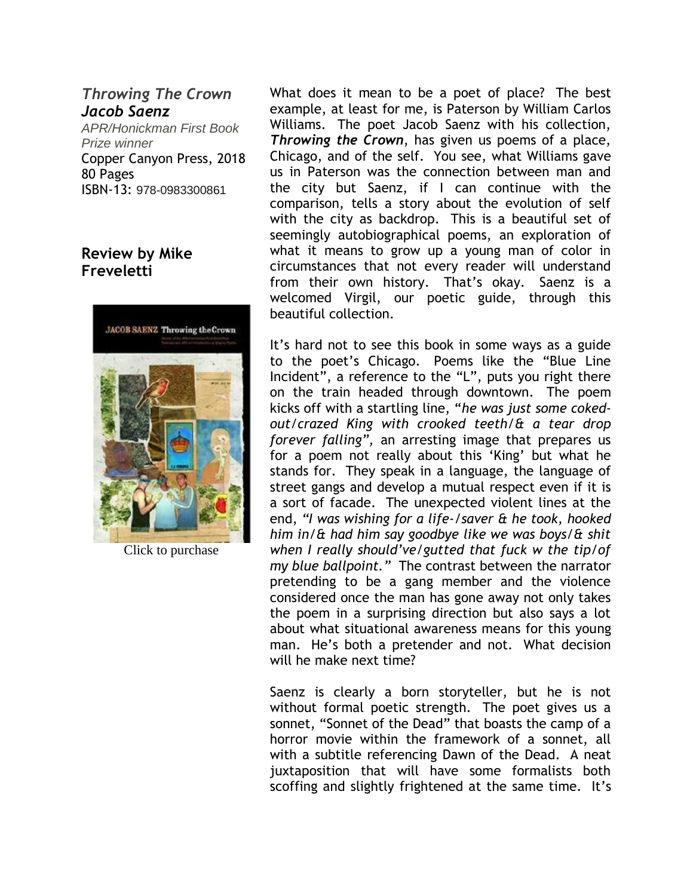# *Throwing The Crown Jacob Saenz*

*APR/Honickman First Book Prize winner* Copper Canyon Press, 2018 80 Pages ISBN-13: 978-0983300861

# **Review by Mike Freveletti**



Click to purchase

What does it mean to be a poet of place? The best example, at least for me, is Paterson by William Carlos Williams. The poet Jacob Saenz with his collection, *Throwing the Crown*, has given us poems of a place, Chicago, and of the self. You see, what Williams gave us in Paterson was the connection between man and the city but Saenz, if I can continue with the comparison, tells a story about the evolution of self with the city as backdrop. This is a beautiful set of seemingly autobiographical poems, an exploration of what it means to grow up a young man of color in circumstances that not every reader will understand from their own history. That's okay. Saenz is a welcomed Virgil, our poetic guide, through this beautiful collection.

It's hard not to see this book in some ways as a guide to the poet's Chicago. Poems like the "Blue Line Incident", a reference to the "L", puts you right there on the train headed through downtown. The poem kicks off with a startling line, "*he was just some cokedout/crazed King with crooked teeth/& a tear drop forever falling",* an arresting image that prepares us for a poem not really about this 'King' but what he stands for. They speak in a language, the language of street gangs and develop a mutual respect even if it is a sort of facade. The unexpected violent lines at the end, *"I was wishing for a life-/saver & he took, hooked him in/& had him say goodbye like we was boys/& shit when I really should've/gutted that fuck w the tip/of my blue ballpoint."* The contrast between the narrator pretending to be a gang member and the violence considered once the man has gone away not only takes the poem in a surprising direction but also says a lot about what situational awareness means for this young man. He's both a pretender and not. What decision will he make next time?

Saenz is clearly a born storyteller, but he is not without formal poetic strength. The poet gives us a sonnet, "Sonnet of the Dead" that boasts the camp of a horror movie within the framework of a sonnet, all with a subtitle referencing Dawn of the Dead. A neat juxtaposition that will have some formalists both scoffing and slightly frightened at the same time. It's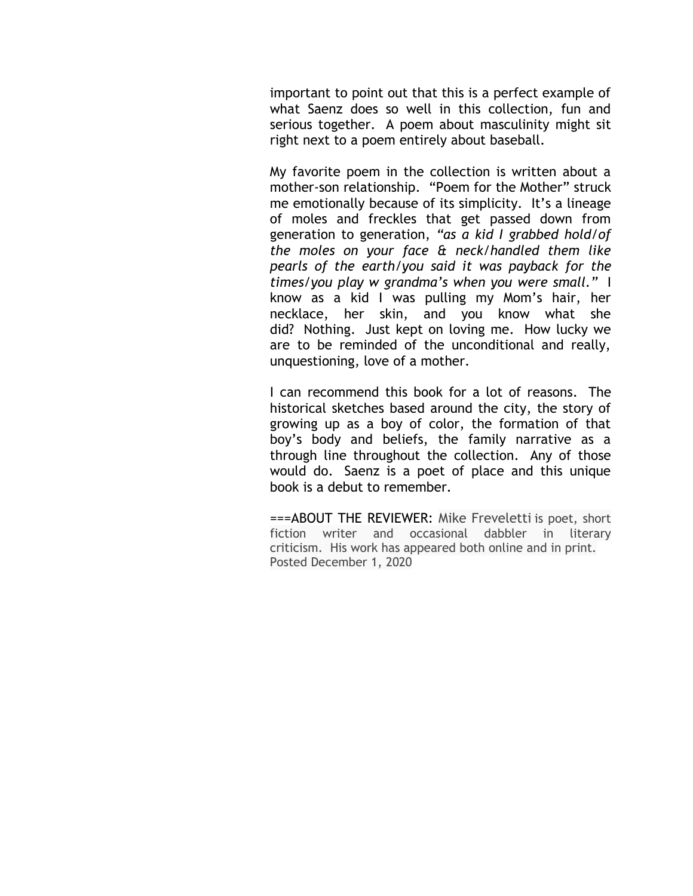important to point out that this is a perfect example of what Saenz does so well in this collection, fun and serious together. A poem about masculinity might sit right next to a poem entirely about baseball.

My favorite poem in the collection is written about a mother-son relationship. "Poem for the Mother" struck me emotionally because of its simplicity. It's a lineage of moles and freckles that get passed down from generation to generation, *"as a kid I grabbed hold/of the moles on your face & neck/handled them like pearls of the earth/you said it was payback for the times/you play w grandma's when you were small."* I know as a kid I was pulling my Mom's hair, her necklace, her skin, and you know what she did? Nothing. Just kept on loving me. How lucky we are to be reminded of the unconditional and really, unquestioning, love of a mother.

I can recommend this book for a lot of reasons. The historical sketches based around the city, the story of growing up as a boy of color, the formation of that boy's body and beliefs, the family narrative as a through line throughout the collection. Any of those would do. Saenz is a poet of place and this unique book is a debut to remember.

===ABOUT THE REVIEWER: Mike Freveletti is poet, short fiction writer and occasional dabbler in literary criticism. His work has appeared both online and in print. Posted December 1, 2020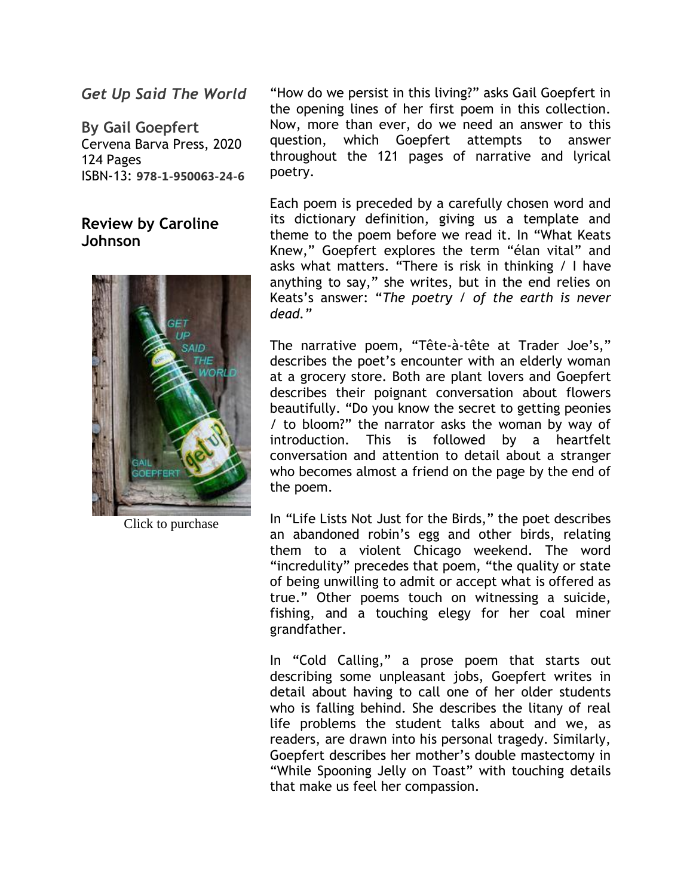*Get Up Said The World*

**By Gail Goepfert** Cervena Barva Press, 2020 124 Pages ISBN-13: **978-1-950063-24-6**

# **Review by Caroline Johnson**



Click to purchase

"How do we persist in this living?" asks Gail Goepfert in the opening lines of her first poem in this collection. Now, more than ever, do we need an answer to this question, which Goepfert attempts to answer throughout the 121 pages of narrative and lyrical poetry.

Each poem is preceded by a carefully chosen word and its dictionary definition, giving us a template and theme to the poem before we read it. In "What Keats Knew," Goepfert explores the term "élan vital" and asks what matters. "There is risk in thinking / I have anything to say," she writes, but in the end relies on Keats's answer: "*The poetry / of the earth is never dead."*

The narrative poem, "Tête-à-tête at Trader Joe's," describes the poet's encounter with an elderly woman at a grocery store. Both are plant lovers and Goepfert describes their poignant conversation about flowers beautifully. "Do you know the secret to getting peonies / to bloom?" the narrator asks the woman by way of introduction. This is followed by a heartfelt conversation and attention to detail about a stranger who becomes almost a friend on the page by the end of the poem.

In "Life Lists Not Just for the Birds," the poet describes an abandoned robin's egg and other birds, relating them to a violent Chicago weekend. The word "incredulity" precedes that poem, "the quality or state of being unwilling to admit or accept what is offered as true." Other poems touch on witnessing a suicide, fishing, and a touching elegy for her coal miner grandfather.

In "Cold Calling," a prose poem that starts out describing some unpleasant jobs, Goepfert writes in detail about having to call one of her older students who is falling behind. She describes the litany of real life problems the student talks about and we, as readers, are drawn into his personal tragedy. Similarly, Goepfert describes her mother's double mastectomy in "While Spooning Jelly on Toast" with touching details that make us feel her compassion.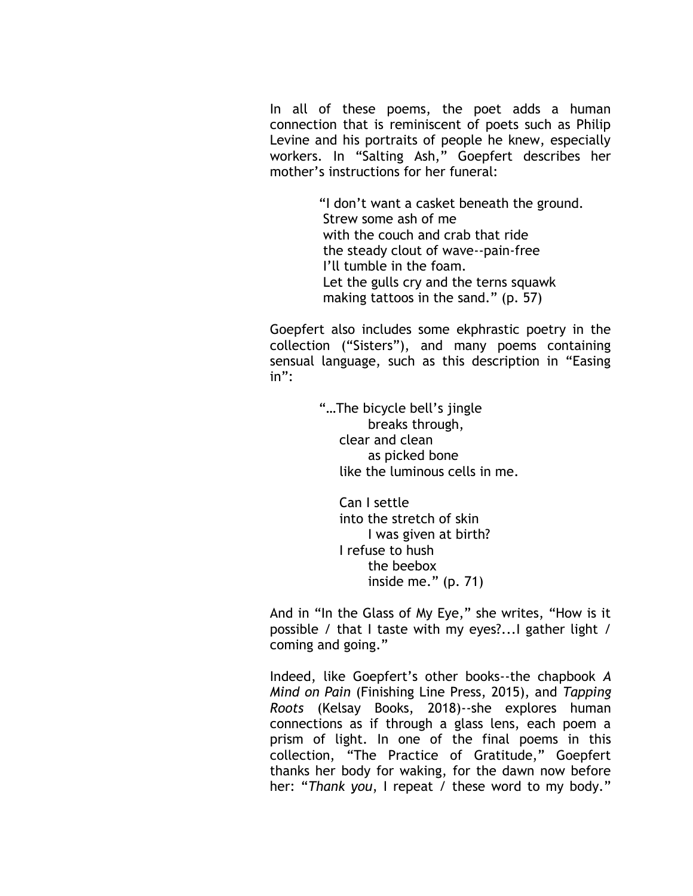In all of these poems, the poet adds a human connection that is reminiscent of poets such as Philip Levine and his portraits of people he knew, especially workers. In "Salting Ash," Goepfert describes her mother's instructions for her funeral:

> "I don't want a casket beneath the ground. Strew some ash of me with the couch and crab that ride the steady clout of wave--pain-free I'll tumble in the foam. Let the gulls cry and the terns squawk making tattoos in the sand." (p. 57)

Goepfert also includes some ekphrastic poetry in the collection ("Sisters"), and many poems containing sensual language, such as this description in "Easing in":

> "…The bicycle bell's jingle breaks through, clear and clean as picked bone like the luminous cells in me.

 Can I settle into the stretch of skin I was given at birth? I refuse to hush the beebox inside me." (p. 71)

And in "In the Glass of My Eye," she writes, "How is it possible / that I taste with my eyes?...I gather light / coming and going."

Indeed, like Goepfert's other books--the chapbook *A Mind on Pain* (Finishing Line Press, 2015), and *Tapping Roots* (Kelsay Books, 2018)--she explores human connections as if through a glass lens, each poem a prism of light. In one of the final poems in this collection, "The Practice of Gratitude," Goepfert thanks her body for waking, for the dawn now before her: "*Thank you*, I repeat / these word to my body."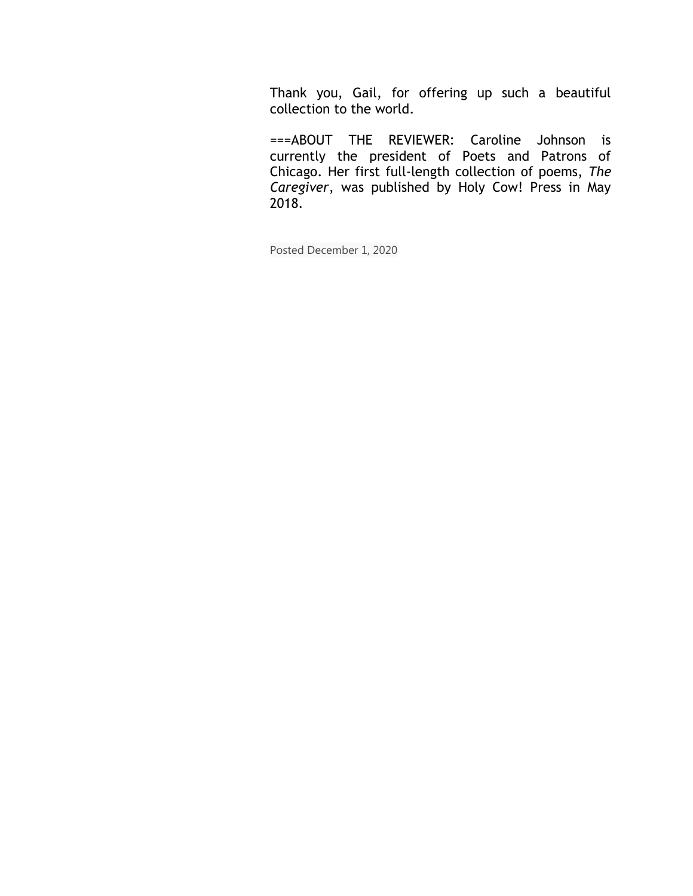Thank you, Gail, for offering up such a beautiful collection to the world.

===ABOUT THE REVIEWER: Caroline Johnson is currently the president of Poets and Patrons of Chicago. Her first full-length collection of poems, *The Caregiver*, was published by Holy Cow! Press in May 2018.

Posted December 1, 2020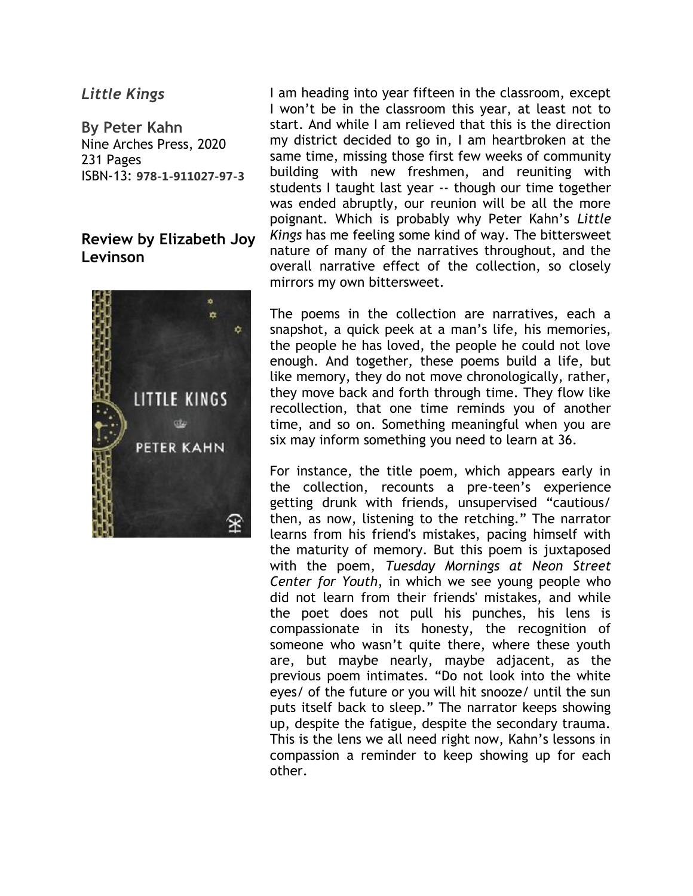#### *Little Kings*

**By Peter Kahn** Nine Arches Press, 2020 231 Pages ISBN-13: **978-1-911027-97-3**

## **Review by Elizabeth Joy Levinson**



I am heading into year fifteen in the classroom, except I won't be in the classroom this year, at least not to start. And while I am relieved that this is the direction my district decided to go in, I am heartbroken at the same time, missing those first few weeks of community building with new freshmen, and reuniting with students I taught last year -- though our time together was ended abruptly, our reunion will be all the more poignant. Which is probably why Peter Kahn's *Little Kings* has me feeling some kind of way. The bittersweet nature of many of the narratives throughout, and the overall narrative effect of the collection, so closely mirrors my own bittersweet.

The poems in the collection are narratives, each a snapshot, a quick peek at a man's life, his memories, the people he has loved, the people he could not love enough. And together, these poems build a life, but like memory, they do not move chronologically, rather, they move back and forth through time. They flow like recollection, that one time reminds you of another time, and so on. Something meaningful when you are six may inform something you need to learn at 36.

For instance, the title poem, which appears early in the collection, recounts a pre-teen's experience getting drunk with friends, unsupervised "cautious/ then, as now, listening to the retching." The narrator learns from his friend's mistakes, pacing himself with the maturity of memory. But this poem is juxtaposed with the poem, *Tuesday Mornings at Neon Street Center for Youth*, in which we see young people who did not learn from their friends' mistakes, and while the poet does not pull his punches, his lens is compassionate in its honesty, the recognition of someone who wasn't quite there, where these youth are, but maybe nearly, maybe adjacent, as the previous poem intimates. "Do not look into the white eyes/ of the future or you will hit snooze/ until the sun puts itself back to sleep." The narrator keeps showing up, despite the fatigue, despite the secondary trauma. This is the lens we all need right now, Kahn's lessons in compassion a reminder to keep showing up for each other.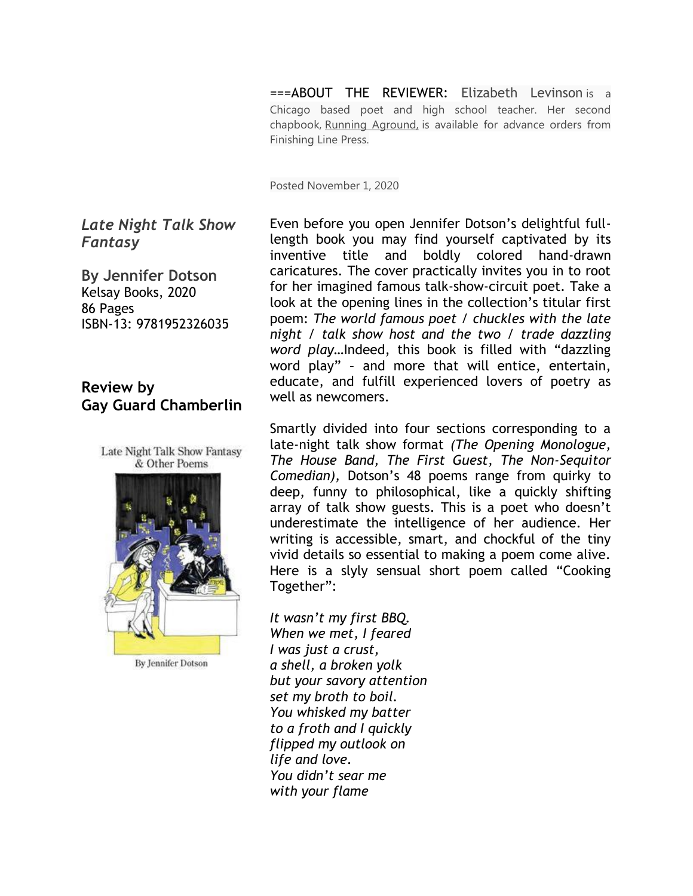===ABOUT THE REVIEWER: Elizabeth Levinson is a Chicago based poet and high school teacher. Her second chapbook, Running Aground, is available for advance orders from Finishing Line Press.

Posted November 1, 2020

*Late Night Talk Show Fantasy*

**By Jennifer Dotson** Kelsay Books, 2020 86 Pages ISBN-13: 9781952326035

# **Review by Gay Guard Chamberlin**

Late Night Talk Show Fantasy & Other Poems



**By Jennifer Dotson** 

Even before you open Jennifer Dotson's delightful fulllength book you may find yourself captivated by its inventive title and boldly colored hand-drawn caricatures. The cover practically invites you in to root for her imagined famous talk-show-circuit poet. Take a look at the opening lines in the collection's titular first poem: *The world famous poet / chuckles with the late night / talk show host and the two / trade dazzling word play…*Indeed, this book is filled with "dazzling word play" – and more that will entice, entertain, educate, and fulfill experienced lovers of poetry as well as newcomers.

Smartly divided into four sections corresponding to a late-night talk show format *(The Opening Monologue, The House Band, The First Guest, The Non-Sequitor Comedian),* Dotson's 48 poems range from quirky to deep, funny to philosophical, like a quickly shifting array of talk show guests. This is a poet who doesn't underestimate the intelligence of her audience. Her writing is accessible, smart, and chockful of the tiny vivid details so essential to making a poem come alive. Here is a slyly sensual short poem called "Cooking Together":

*It wasn't my first BBQ. When we met, I feared I was just a crust, a shell, a broken yolk but your savory attention set my broth to boil. You whisked my batter to a froth and I quickly flipped my outlook on life and love. You didn't sear me with your flame*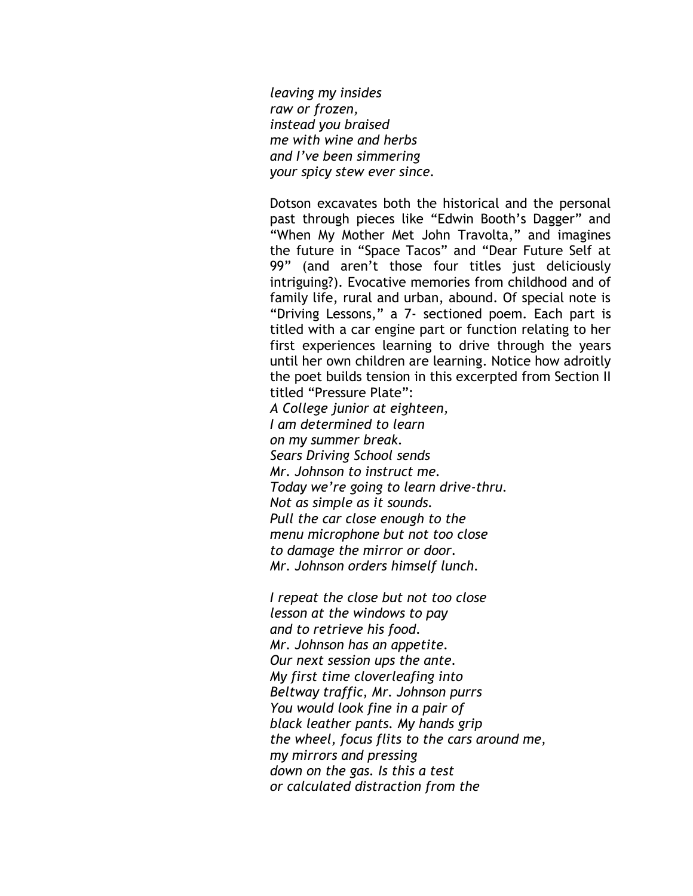*leaving my insides raw or frozen, instead you braised me with wine and herbs and I've been simmering your spicy stew ever since.*

Dotson excavates both the historical and the personal past through pieces like "Edwin Booth's Dagger" and "When My Mother Met John Travolta," and imagines the future in "Space Tacos" and "Dear Future Self at 99" (and aren't those four titles just deliciously intriguing?). Evocative memories from childhood and of family life, rural and urban, abound. Of special note is "Driving Lessons," a 7- sectioned poem. Each part is titled with a car engine part or function relating to her first experiences learning to drive through the years until her own children are learning. Notice how adroitly the poet builds tension in this excerpted from Section II titled "Pressure Plate":

*A College junior at eighteen, I am determined to learn on my summer break. Sears Driving School sends Mr. Johnson to instruct me. Today we're going to learn drive-thru. Not as simple as it sounds. Pull the car close enough to the menu microphone but not too close to damage the mirror or door. Mr. Johnson orders himself lunch.*

*I repeat the close but not too close lesson at the windows to pay and to retrieve his food. Mr. Johnson has an appetite. Our next session ups the ante. My first time cloverleafing into Beltway traffic, Mr. Johnson purrs You would look fine in a pair of black leather pants. My hands grip the wheel, focus flits to the cars around me, my mirrors and pressing down on the gas. Is this a test or calculated distraction from the*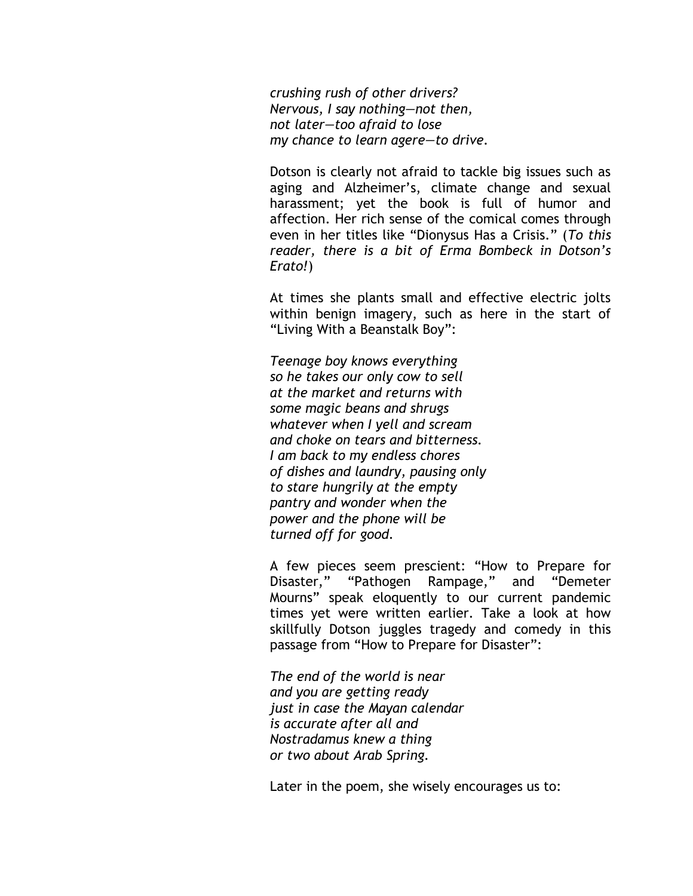*crushing rush of other drivers? Nervous, I say nothing—not then, not later—too afraid to lose my chance to learn agere—to drive.*

Dotson is clearly not afraid to tackle big issues such as aging and Alzheimer's, climate change and sexual harassment; yet the book is full of humor and affection. Her rich sense of the comical comes through even in her titles like "Dionysus Has a Crisis." (*To this reader, there is a bit of Erma Bombeck in Dotson's Erato!*)

At times she plants small and effective electric jolts within benign imagery, such as here in the start of "Living With a Beanstalk Boy":

*Teenage boy knows everything so he takes our only cow to sell at the market and returns with some magic beans and shrugs whatever when I yell and scream and choke on tears and bitterness. I am back to my endless chores of dishes and laundry, pausing only to stare hungrily at the empty pantry and wonder when the power and the phone will be turned off for good.*

A few pieces seem prescient: "How to Prepare for Disaster," "Pathogen Rampage," and "Demeter Mourns" speak eloquently to our current pandemic times yet were written earlier. Take a look at how skillfully Dotson juggles tragedy and comedy in this passage from "How to Prepare for Disaster":

*The end of the world is near and you are getting ready just in case the Mayan calendar is accurate after all and Nostradamus knew a thing or two about Arab Spring.*

Later in the poem, she wisely encourages us to: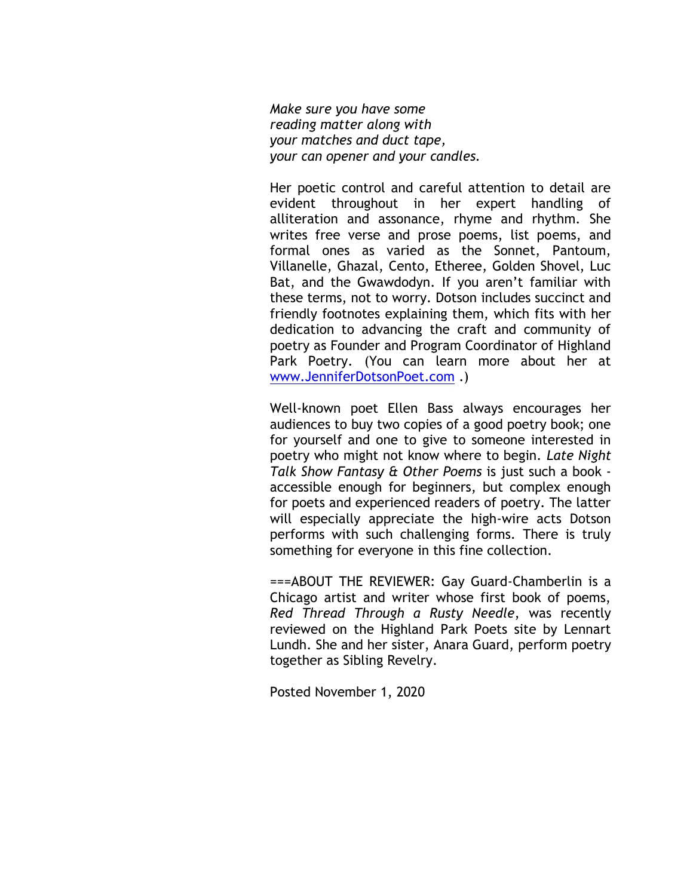*Make sure you have some reading matter along with your matches and duct tape, your can opener and your candles.*

Her poetic control and careful attention to detail are evident throughout in her expert handling of alliteration and assonance, rhyme and rhythm. She writes free verse and prose poems, list poems, and formal ones as varied as the Sonnet, Pantoum, Villanelle, Ghazal, Cento, Etheree, Golden Shovel, Luc Bat, and the Gwawdodyn. If you aren't familiar with these terms, not to worry. Dotson includes succinct and friendly footnotes explaining them, which fits with her dedication to advancing the craft and community of poetry as Founder and Program Coordinator of Highland Park Poetry. (You can learn more about her at [www.JenniferDotsonPoet.com](http://www.jenniferdotsonpoet.com/) .)

Well-known poet Ellen Bass always encourages her audiences to buy two copies of a good poetry book; one for yourself and one to give to someone interested in poetry who might not know where to begin. *Late Night Talk Show Fantasy & Other Poems* is just such a book accessible enough for beginners, but complex enough for poets and experienced readers of poetry. The latter will especially appreciate the high-wire acts Dotson performs with such challenging forms. There is truly something for everyone in this fine collection.

===ABOUT THE REVIEWER: Gay Guard-Chamberlin is a Chicago artist and writer whose first book of poems, *Red Thread Through a Rusty Needle*, was recently reviewed on the Highland Park Poets site by Lennart Lundh. She and her sister, Anara Guard, perform poetry together as Sibling Revelry.

Posted November 1, 2020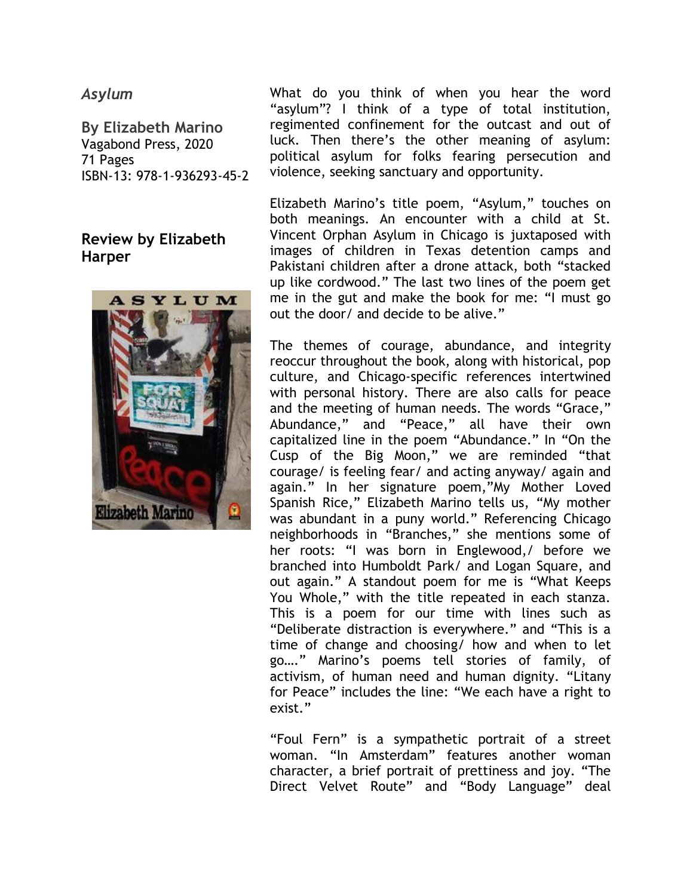#### *Asylum*

**By Elizabeth Marino** Vagabond Press, 2020 71 Pages ISBN-13: 978-1-936293-45-2

# **Review by Elizabeth Harper**



What do you think of when you hear the word "asylum"? I think of a type of total institution, regimented confinement for the outcast and out of luck. Then there's the other meaning of asylum: political asylum for folks fearing persecution and violence, seeking sanctuary and opportunity.

Elizabeth Marino's title poem, "Asylum," touches on both meanings. An encounter with a child at St. Vincent Orphan Asylum in Chicago is juxtaposed with images of children in Texas detention camps and Pakistani children after a drone attack, both "stacked up like cordwood." The last two lines of the poem get me in the gut and make the book for me: "I must go out the door/ and decide to be alive."

The themes of courage, abundance, and integrity reoccur throughout the book, along with historical, pop culture, and Chicago-specific references intertwined with personal history. There are also calls for peace and the meeting of human needs. The words "Grace," Abundance," and "Peace," all have their own capitalized line in the poem "Abundance." In "On the Cusp of the Big Moon," we are reminded "that courage/ is feeling fear/ and acting anyway/ again and again." In her signature poem,"My Mother Loved Spanish Rice," Elizabeth Marino tells us, "My mother was abundant in a puny world." Referencing Chicago neighborhoods in "Branches," she mentions some of her roots: "I was born in Englewood,/ before we branched into Humboldt Park/ and Logan Square, and out again." A standout poem for me is "What Keeps You Whole," with the title repeated in each stanza. This is a poem for our time with lines such as "Deliberate distraction is everywhere." and "This is a time of change and choosing/ how and when to let go…." Marino's poems tell stories of family, of activism, of human need and human dignity. "Litany for Peace" includes the line: "We each have a right to exist."

"Foul Fern" is a sympathetic portrait of a street woman. "In Amsterdam" features another woman character, a brief portrait of prettiness and joy. "The Direct Velvet Route" and "Body Language" deal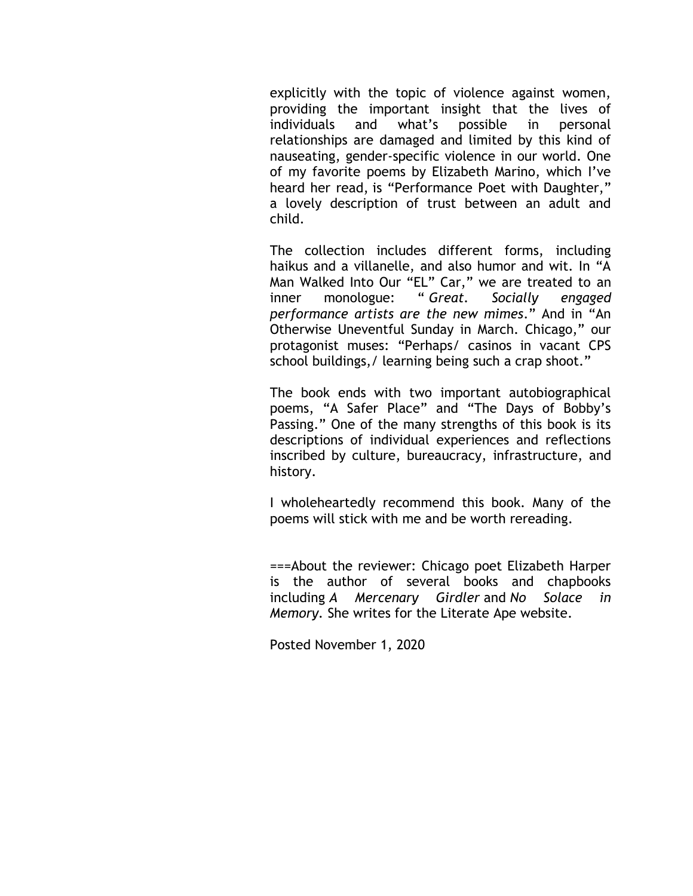explicitly with the topic of violence against women, providing the important insight that the lives of individuals and what's possible in personal relationships are damaged and limited by this kind of nauseating, gender-specific violence in our world. One of my favorite poems by Elizabeth Marino, which I've heard her read, is "Performance Poet with Daughter," a lovely description of trust between an adult and child.

The collection includes different forms, including haikus and a villanelle, and also humor and wit. In "A Man Walked Into Our "EL" Car," we are treated to an inner monologue: " *Great. Socially engaged performance artists are the new mimes*." And in "An Otherwise Uneventful Sunday in March. Chicago," our protagonist muses: "Perhaps/ casinos in vacant CPS school buildings,/ learning being such a crap shoot."

The book ends with two important autobiographical poems, "A Safer Place" and "The Days of Bobby's Passing." One of the many strengths of this book is its descriptions of individual experiences and reflections inscribed by culture, bureaucracy, infrastructure, and history.

I wholeheartedly recommend this book. Many of the poems will stick with me and be worth rereading.

===About the reviewer: Chicago poet Elizabeth Harper is the author of several books and chapbooks including *A Mercenary Girdler* and *No Solace in Memory.* She writes for the Literate Ape website.

Posted November 1, 2020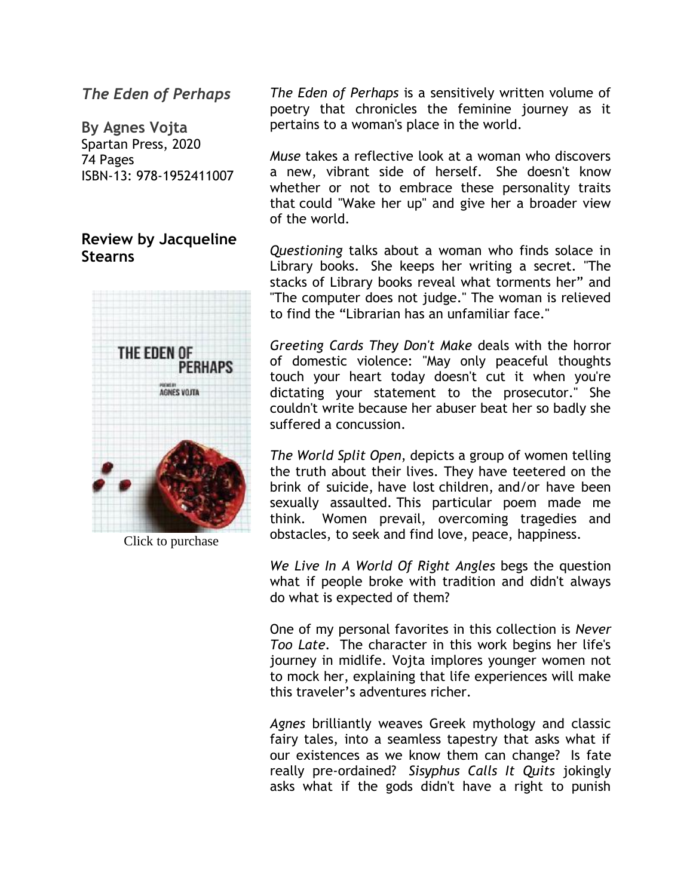*The Eden of Perhaps*

**By Agnes Vojta** Spartan Press, 2020 74 Pages ISBN-13: 978-1952411007

# **Review by Jacqueline Stearns**



Click to purchase

*The Eden of Perhaps* is a sensitively written volume of poetry that chronicles the feminine journey as it pertains to a woman's place in the world.

*Muse* takes a reflective look at a woman who discovers a new, vibrant side of herself. She doesn't know whether or not to embrace these personality traits that could "Wake her up" and give her a broader view of the world.

*Questioning* talks about a woman who finds solace in Library books. She keeps her writing a secret. "The stacks of Library books reveal what torments her" and "The computer does not judge." The woman is relieved to find the "Librarian has an unfamiliar face."

*Greeting Cards They Don't Make* deals with the horror of domestic violence: "May only peaceful thoughts touch your heart today doesn't cut it when you're dictating your statement to the prosecutor." She couldn't write because her abuser beat her so badly she suffered a concussion.

*The World Split Open*, depicts a group of women telling the truth about their lives. They have teetered on the brink of suicide, have lost children, and/or have been sexually assaulted. This particular poem made me think. Women prevail, overcoming tragedies and obstacles, to seek and find love, peace, happiness.

*We Live In A World Of Right Angles* begs the question what if people broke with tradition and didn't always do what is expected of them?

One of my personal favorites in this collection is *Never Too Late*. The character in this work begins her life's journey in midlife. Vojta implores younger women not to mock her, explaining that life experiences will make this traveler's adventures richer.

*Agnes* brilliantly weaves Greek mythology and classic fairy tales, into a seamless tapestry that asks what if our existences as we know them can change? Is fate really pre-ordained? *Sisyphus Calls It Quits* jokingly asks what if the gods didn't have a right to punish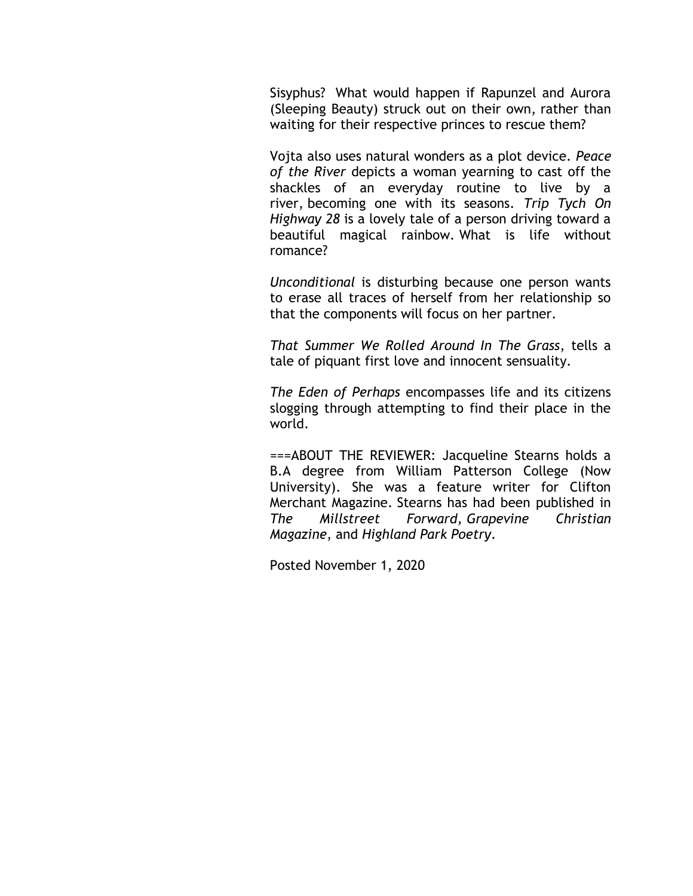Sisyphus? What would happen if Rapunzel and Aurora (Sleeping Beauty) struck out on their own, rather than waiting for their respective princes to rescue them?

Vojta also uses natural wonders as a plot device. *Peace of the River* depicts a woman yearning to cast off the shackles of an everyday routine to live by a river, becoming one with its seasons. *Trip Tych On Highway 28* is a lovely tale of a person driving toward a beautiful magical rainbow. What is life without romance?

*Unconditional* is disturbing because one person wants to erase all traces of herself from her relationship so that the components will focus on her partner.

*That Summer We Rolled Around In The Grass*, tells a tale of piquant first love and innocent sensuality.

*The Eden of Perhaps* encompasses life and its citizens slogging through attempting to find their place in the world.

===ABOUT THE REVIEWER: Jacqueline Stearns holds a B.A degree from William Patterson College (Now University). She was a feature writer for Clifton Merchant Magazine. Stearns has had been published in *The Millstreet Forward, Grapevine Christian Magazine*, and *Highland Park Poetry*.

Posted November 1, 2020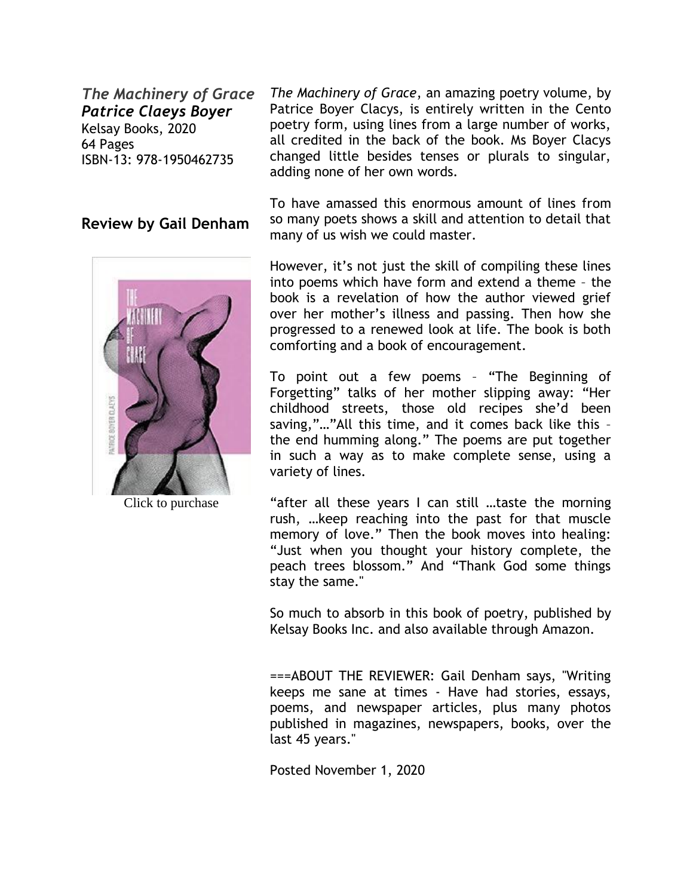*The Machinery of Grace Patrice Claeys Boyer* Kelsay Books, 2020 64 Pages ISBN-13: 978-1950462735

#### **Review by Gail Denham**



Click to purchase

*The Machinery of Grace*, an amazing poetry volume, by Patrice Boyer Clacys, is entirely written in the Cento poetry form, using lines from a large number of works, all credited in the back of the book. Ms Boyer Clacys changed little besides tenses or plurals to singular, adding none of her own words.

To have amassed this enormous amount of lines from so many poets shows a skill and attention to detail that many of us wish we could master.

However, it's not just the skill of compiling these lines into poems which have form and extend a theme – the book is a revelation of how the author viewed grief over her mother's illness and passing. Then how she progressed to a renewed look at life. The book is both comforting and a book of encouragement.

To point out a few poems – "The Beginning of Forgetting" talks of her mother slipping away: "Her childhood streets, those old recipes she'd been saving,"…"All this time, and it comes back like this – the end humming along." The poems are put together in such a way as to make complete sense, using a variety of lines.

"after all these years I can still …taste the morning rush, …keep reaching into the past for that muscle memory of love." Then the book moves into healing: "Just when you thought your history complete, the peach trees blossom." And "Thank God some things stay the same."

So much to absorb in this book of poetry, published by Kelsay Books Inc. and also available through Amazon.

===ABOUT THE REVIEWER: Gail Denham says, "Writing keeps me sane at times - Have had stories, essays, poems, and newspaper articles, plus many photos published in magazines, newspapers, books, over the last 45 years."

Posted November 1, 2020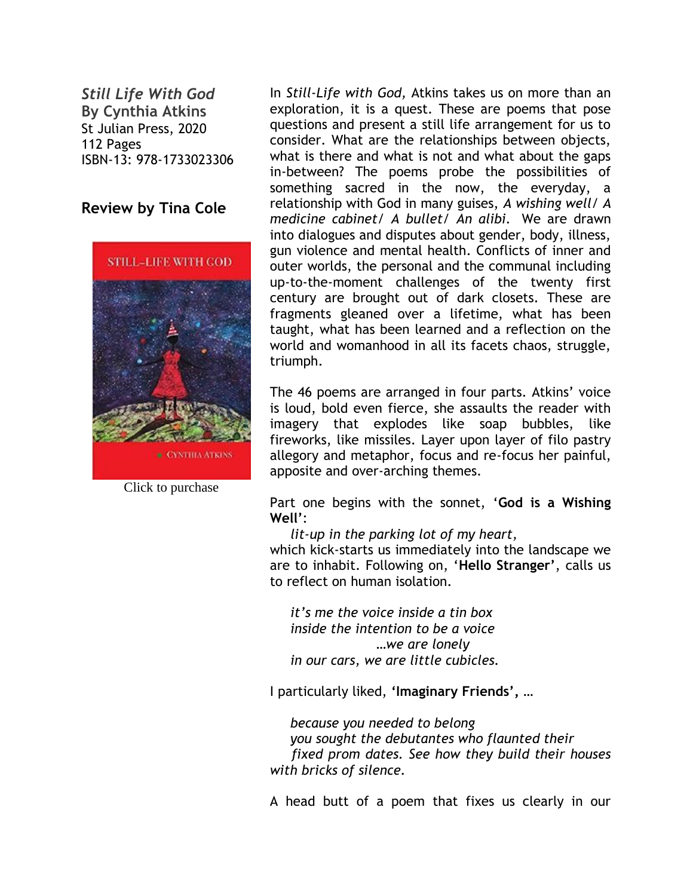*Still Life With God* **By Cynthia Atkins** St Julian Press, 2020 112 Pages ISBN-13: 978-1733023306

# **Review by Tina Cole**



Click to purchase

In *Still-Life with God,* Atkins takes us on more than an exploration, it is a quest. These are poems that pose questions and present a still life arrangement for us to consider. What are the relationships between objects, what is there and what is not and what about the gaps in-between? The poems probe the possibilities of something sacred in the now, the everyday, a relationship with God in many guises, *A wishing well/ A medicine cabinet/ A bullet/ An alibi.* We are drawn into dialogues and disputes about gender, body, illness, gun violence and mental health. Conflicts of inner and outer worlds, the personal and the communal including up-to-the-moment challenges of the twenty first century are brought out of dark closets. These are fragments gleaned over a lifetime, what has been taught, what has been learned and a reflection on the world and womanhood in all its facets chaos, struggle, triumph.

The 46 poems are arranged in four parts. Atkins' voice is loud, bold even fierce, she assaults the reader with imagery that explodes like soap bubbles, like fireworks, like missiles. Layer upon layer of filo pastry allegory and metaphor, focus and re-focus her painful, apposite and over-arching themes.

Part one begins with the sonnet, '**God is a Wishing Well'**:

 *lit-up in the parking lot of my heart,* 

which kick-starts us immediately into the landscape we are to inhabit. Following on, '**Hello Stranger'**, calls us to reflect on human isolation*.*

 *it's me the voice inside a tin box inside the intention to be a voice* …*we are lonely in our cars, we are little cubicles.* 

I particularly liked, **'Imaginary Friends',** *…* 

 *because you needed to belong you sought the debutantes who flaunted their fixed prom dates. See how they build their houses with bricks of silence.* 

A head butt of a poem that fixes us clearly in our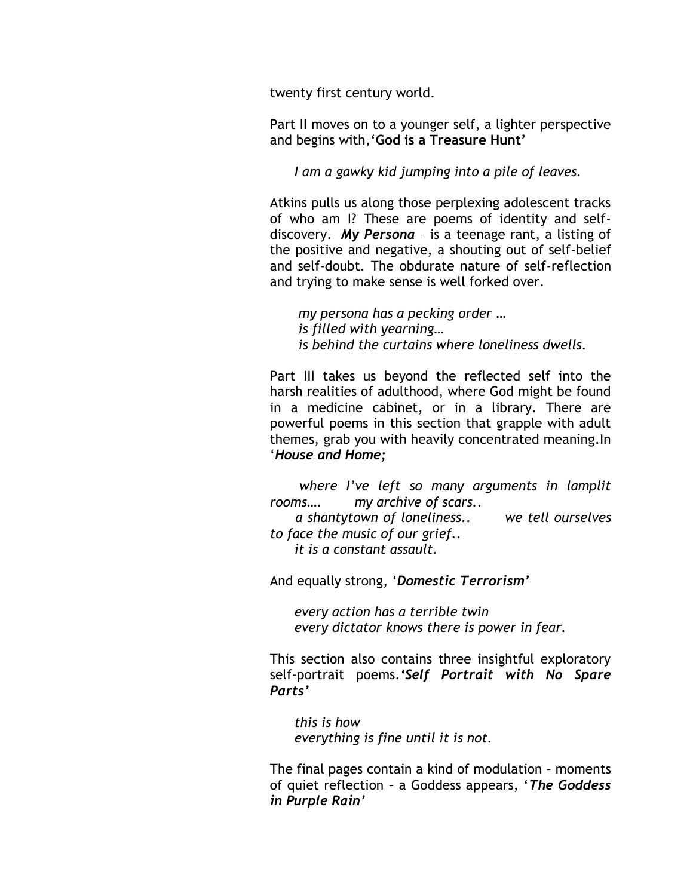twenty first century world.

Part II moves on to a younger self, a lighter perspective and begins with,'**God is a Treasure Hunt'**

 *I am a gawky kid jumping into a pile of leaves.*

Atkins pulls us along those perplexing adolescent tracks of who am I? These are poems of identity and selfdiscovery. *My Persona* – is a teenage rant, a listing of the positive and negative, a shouting out of self-belief and self-doubt. The obdurate nature of self-reflection and trying to make sense is well forked over.

 *my persona has a pecking order … is filled with yearning… is behind the curtains where loneliness dwells.* 

Part III takes us beyond the reflected self into the harsh realities of adulthood, where God might be found in a medicine cabinet, or in a library. There are powerful poems in this section that grapple with adult themes, grab you with heavily concentrated meaning.In '*House and Home;*

 *where I've left so many arguments in lamplit rooms…. my archive of scars..*

 *a shantytown of loneliness.. we tell ourselves to face the music of our grief.. it is a constant assault.* 

And equally strong, '*Domestic Terrorism'*

 *every action has a terrible twin every dictator knows there is power in fear.*

This section also contains three insightful exploratory self-portrait poems.*'Self Portrait with No Spare Parts'*

 *this is how everything is fine until it is not.* 

The final pages contain a kind of modulation – moments of quiet reflection – a Goddess appears, '*The Goddess in Purple Rain'*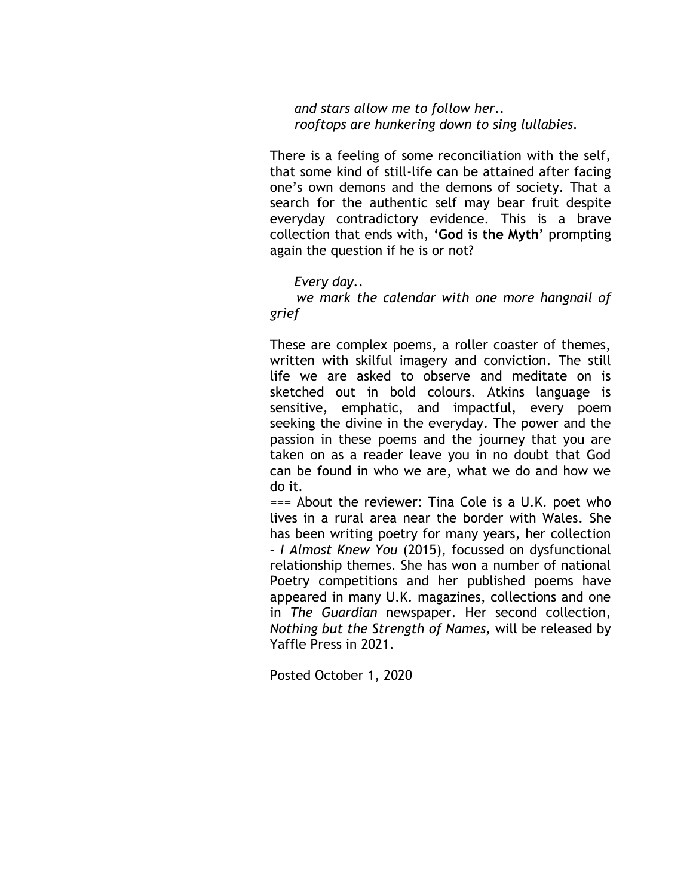*and stars allow me to follow her.. rooftops are hunkering down to sing lullabies.* 

There is a feeling of some reconciliation with the self, that some kind of still-life can be attained after facing one's own demons and the demons of society. That a search for the authentic self may bear fruit despite everyday contradictory evidence. This is a brave collection that ends with, **'God is the Myth'** prompting again the question if he is or not?

#### *Every day..*

 *we mark the calendar with one more hangnail of grief* 

These are complex poems, a roller coaster of themes, written with skilful imagery and conviction. The still life we are asked to observe and meditate on is sketched out in bold colours. Atkins language is sensitive, emphatic, and impactful, every poem seeking the divine in the everyday. The power and the passion in these poems and the journey that you are taken on as a reader leave you in no doubt that God can be found in who we are, what we do and how we do it.

=== About the reviewer: Tina Cole is a U.K. poet who lives in a rural area near the border with Wales*.* She has been writing poetry for many years, her collection – *I Almost Knew You* (2015), focussed on dysfunctional relationship themes. She has won a number of national Poetry competitions and her published poems have appeared in many U.K. magazines, collections and one in *The Guardian* newspaper. Her second collection, *Nothing but the Strength of Names,* will be released by Yaffle Press in 2021.

Posted October 1, 2020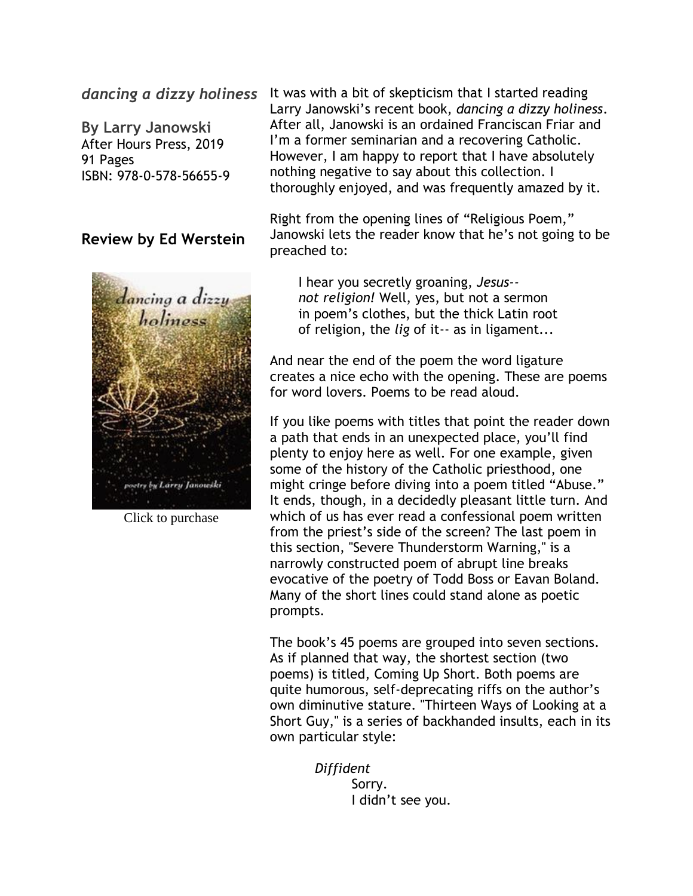#### *dancing a dizzy holiness*

**By Larry Janowski** After Hours Press, 2019 91 Pages ISBN: 978-0-578-56655-9

#### **Review by Ed Werstein**



Click to purchase

It was with a bit of skepticism that I started reading Larry Janowski's recent book, *dancing a dizzy holiness*. After all, Janowski is an ordained Franciscan Friar and I'm a former seminarian and a recovering Catholic. However, I am happy to report that I have absolutely nothing negative to say about this collection. I thoroughly enjoyed, and was frequently amazed by it.

Right from the opening lines of "Religious Poem," Janowski lets the reader know that he's not going to be preached to:

 I hear you secretly groaning, *Jesus- not religion!* Well, yes, but not a sermon in poem's clothes, but the thick Latin root of religion, the *lig* of it-- as in ligament...

And near the end of the poem the word ligature creates a nice echo with the opening. These are poems for word lovers. Poems to be read aloud.

If you like poems with titles that point the reader down a path that ends in an unexpected place, you'll find plenty to enjoy here as well. For one example, given some of the history of the Catholic priesthood, one might cringe before diving into a poem titled "Abuse." It ends, though, in a decidedly pleasant little turn. And which of us has ever read a confessional poem written from the priest's side of the screen? The last poem in this section, "Severe Thunderstorm Warning," is a narrowly constructed poem of abrupt line breaks evocative of the poetry of Todd Boss or Eavan Boland. Many of the short lines could stand alone as poetic prompts.

The book's 45 poems are grouped into seven sections. As if planned that way, the shortest section (two poems) is titled, Coming Up Short. Both poems are quite humorous, self-deprecating riffs on the author's own diminutive stature. "Thirteen Ways of Looking at a Short Guy," is a series of backhanded insults, each in its own particular style:

> *Diffident* Sorry. I didn't see you.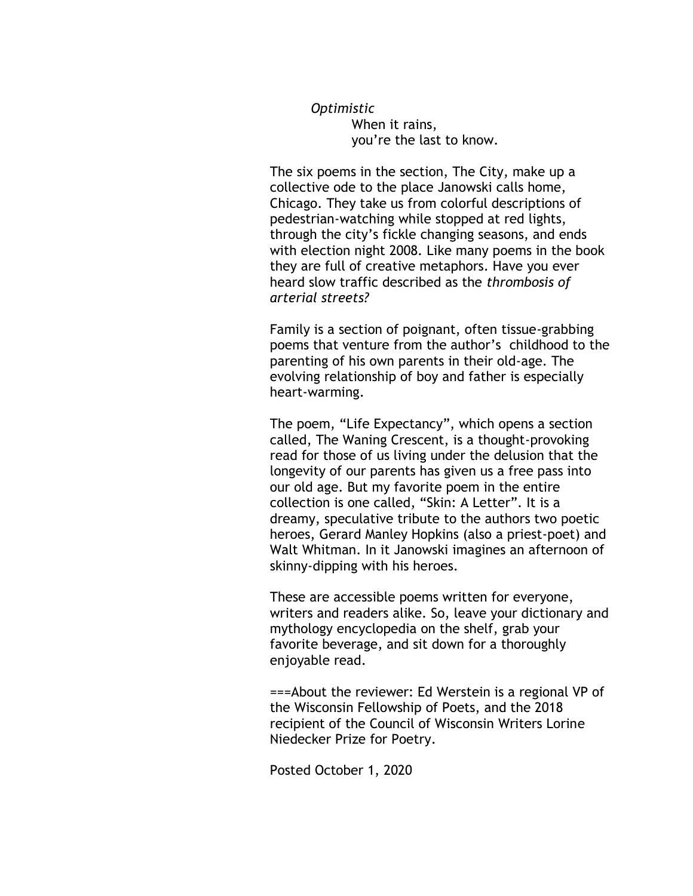*Optimistic* When it rains, you're the last to know.

The six poems in the section, The City, make up a collective ode to the place Janowski calls home, Chicago. They take us from colorful descriptions of pedestrian-watching while stopped at red lights, through the city's fickle changing seasons, and ends with election night 2008. Like many poems in the book they are full of creative metaphors. Have you ever heard slow traffic described as the *thrombosis of arterial streets?*

Family is a section of poignant, often tissue-grabbing poems that venture from the author's childhood to the parenting of his own parents in their old-age. The evolving relationship of boy and father is especially heart-warming.

The poem, "Life Expectancy", which opens a section called, The Waning Crescent, is a thought-provoking read for those of us living under the delusion that the longevity of our parents has given us a free pass into our old age. But my favorite poem in the entire collection is one called, "Skin: A Letter". It is a dreamy, speculative tribute to the authors two poetic heroes, Gerard Manley Hopkins (also a priest-poet) and Walt Whitman. In it Janowski imagines an afternoon of skinny-dipping with his heroes.

These are accessible poems written for everyone, writers and readers alike. So, leave your dictionary and mythology encyclopedia on the shelf, grab your favorite beverage, and sit down for a thoroughly enjoyable read.

===About the reviewer: Ed Werstein is a regional VP of the Wisconsin Fellowship of Poets, and the 2018 recipient of the Council of Wisconsin Writers Lorine Niedecker Prize for Poetry.

Posted October 1, 2020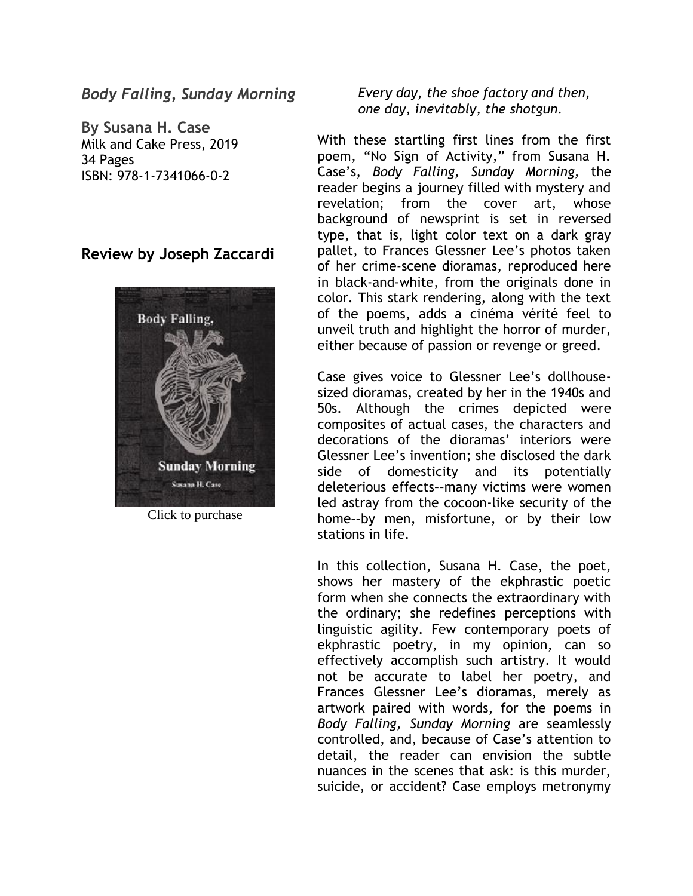#### *Body Falling, Sunday Morning*

**By Susana H. Case** Milk and Cake Press, 2019 34 Pages ISBN: 978-1-7341066-0-2

#### **Review by Joseph Zaccardi**



Click to purchase

#### *Every day, the shoe factory and then, one day, inevitably, the shotgun.*

With these startling first lines from the first poem, "No Sign of Activity," from Susana H. Case's, *Body Falling, Sunday Morning,* the reader begins a journey filled with mystery and revelation; from the cover art, whose background of newsprint is set in reversed type, that is, light color text on a dark gray pallet, to Frances Glessner Lee's photos taken of her crime-scene dioramas, reproduced here in black-and-white, from the originals done in color. This stark rendering, along with the text of the poems, adds a cinéma vérité feel to unveil truth and highlight the horror of murder, either because of passion or revenge or greed.

Case gives voice to Glessner Lee's dollhousesized dioramas, created by her in the 1940s and 50s. Although the crimes depicted were composites of actual cases, the characters and decorations of the dioramas' interiors were Glessner Lee's invention; she disclosed the dark side of domesticity and its potentially deleterious effects––many victims were women led astray from the cocoon-like security of the home––by men, misfortune, or by their low stations in life.

In this collection, Susana H. Case, the poet, shows her mastery of the ekphrastic poetic form when she connects the extraordinary with the ordinary; she redefines perceptions with linguistic agility. Few contemporary poets of ekphrastic poetry, in my opinion, can so effectively accomplish such artistry. It would not be accurate to label her poetry, and Frances Glessner Lee's dioramas, merely as artwork paired with words, for the poems in *Body Falling, Sunday Morning* are seamlessly controlled, and, because of Case's attention to detail, the reader can envision the subtle nuances in the scenes that ask: is this murder, suicide, or accident? Case employs metronymy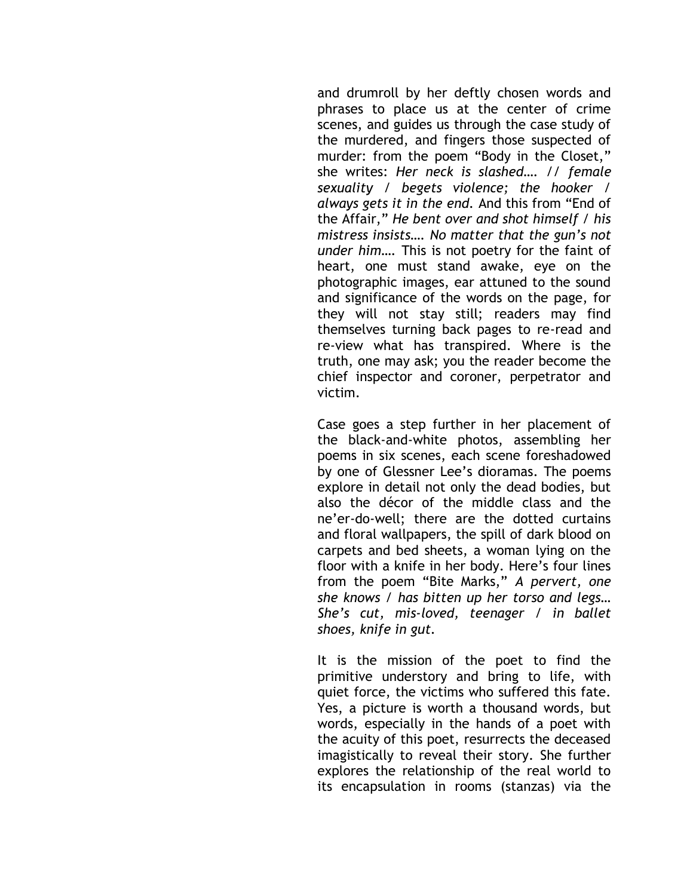and drumroll by her deftly chosen words and phrases to place us at the center of crime scenes, and guides us through the case study of the murdered, and fingers those suspected of murder: from the poem "Body in the Closet," she writes: *Her neck is slashed…. // female sexuality / begets violence; the hooker / always gets it in the end.* And this from "End of the Affair," *He bent over and shot himself / his mistress insists…. No matter that the gun's not under him….* This is not poetry for the faint of heart, one must stand awake, eye on the photographic images, ear attuned to the sound and significance of the words on the page, for they will not stay still; readers may find themselves turning back pages to re-read and re-view what has transpired. Where is the truth, one may ask; you the reader become the chief inspector and coroner, perpetrator and victim.

Case goes a step further in her placement of the black-and-white photos, assembling her poems in six scenes, each scene foreshadowed by one of Glessner Lee's dioramas. The poems explore in detail not only the dead bodies, but also the décor of the middle class and the ne'er-do-well; there are the dotted curtains and floral wallpapers, the spill of dark blood on carpets and bed sheets, a woman lying on the floor with a knife in her body. Here's four lines from the poem "Bite Marks," *A pervert, one she knows / has bitten up her torso and legs… She's cut, mis-loved, teenager / in ballet shoes, knife in gut.* 

It is the mission of the poet to find the primitive understory and bring to life, with quiet force, the victims who suffered this fate. Yes, a picture is worth a thousand words, but words, especially in the hands of a poet with the acuity of this poet, resurrects the deceased imagistically to reveal their story. She further explores the relationship of the real world to its encapsulation in rooms (stanzas) via the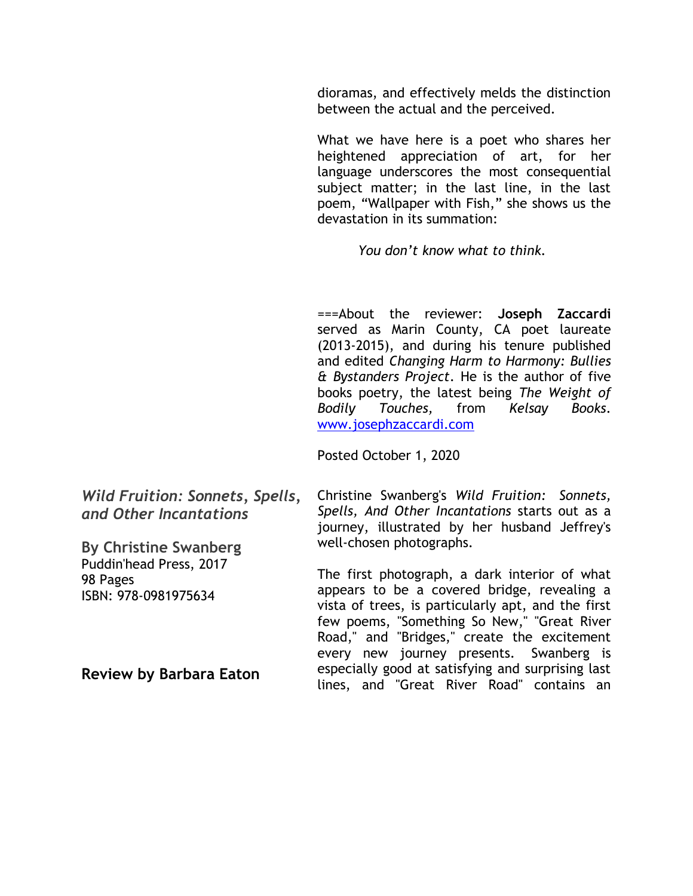dioramas, and effectively melds the distinction between the actual and the perceived.

What we have here is a poet who shares her heightened appreciation of art, for her language underscores the most consequential subject matter; in the last line, in the last poem, "Wallpaper with Fish," she shows us the devastation in its summation:

 *You don't know what to think.* 

===About the reviewer: **Joseph Zaccardi**  served as Marin County, CA poet laureate (2013-2015), and during his tenure published and edited *Changing Harm to Harmony: Bullies & Bystanders Project*. He is the author of five books poetry, the latest being *The Weight of Bodily Touches,* from *Kelsay Books*. [www.josephzaccardi.com](http://www.josephzaccardi.com/)

Posted October 1, 2020

*Wild Fruition: Sonnets, Spells, and Other Incantations*  **By Christine Swanberg** Christine Swanberg's *Wild Fruition: Sonnets, Spells, And Other Incantations* starts out as a journey, illustrated by her husband Jeffrey's well-chosen photographs.

> The first photograph, a dark interior of what appears to be a covered bridge, revealing a vista of trees, is particularly apt, and the first few poems, "Something So New," "Great River Road," and "Bridges," create the excitement every new journey presents. Swanberg is especially good at satisfying and surprising last lines, and "Great River Road" contains an

**Review by Barbara Eaton**

Puddin'head Press, 2017

ISBN: 978-0981975634

98 Pages